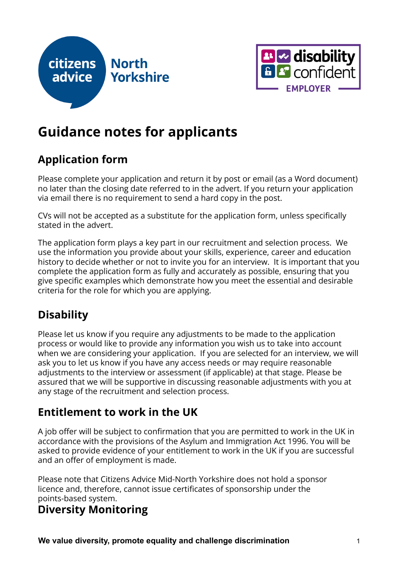



# **Guidance notes for applicants**

# **Application form**

Please complete your application and return it by post or email (as a Word document) no later than the closing date referred to in the advert. If you return your application via email there is no requirement to send a hard copy in the post.

CVs will not be accepted as a substitute for the application form, unless specifically stated in the advert.

The application form plays a key part in our recruitment and selection process. We use the information you provide about your skills, experience, career and education history to decide whether or not to invite you for an interview. It is important that you complete the application form as fully and accurately as possible, ensuring that you give specific examples which demonstrate how you meet the essential and desirable criteria for the role for which you are applying.

# **Disability**

Please let us know if you require any adjustments to be made to the application process or would like to provide any information you wish us to take into account when we are considering your application. If you are selected for an interview, we will ask you to let us know if you have any access needs or may require reasonable adjustments to the interview or assessment (if applicable) at that stage. Please be assured that we will be supportive in discussing reasonable adjustments with you at any stage of the recruitment and selection process.

### **Entitlement to work in the UK**

A job offer will be subject to confirmation that you are permitted to work in the UK in accordance with the provisions of the Asylum and Immigration Act 1996. You will be asked to provide evidence of your entitlement to work in the UK if you are successful and an offer of employment is made.

Please note that Citizens Advice Mid-North Yorkshire does not hold a sponsor licence and, therefore, cannot issue certificates of sponsorship under the points-based system.

### **Diversity Monitoring**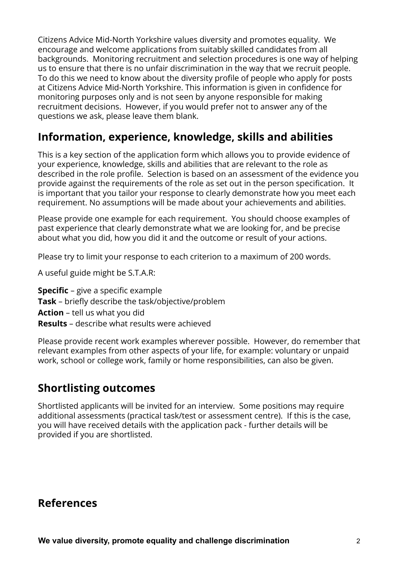Citizens Advice Mid-North Yorkshire values diversity and promotes equality. We encourage and welcome applications from suitably skilled candidates from all backgrounds. Monitoring recruitment and selection procedures is one way of helping us to ensure that there is no unfair discrimination in the way that we recruit people. To do this we need to know about the diversity profile of people who apply for posts at Citizens Advice Mid-North Yorkshire. This information is given in confidence for monitoring purposes only and is not seen by anyone responsible for making recruitment decisions. However, if you would prefer not to answer any of the questions we ask, please leave them blank.

### **Information, experience, knowledge, skills and abilities**

This is a key section of the application form which allows you to provide evidence of your experience, knowledge, skills and abilities that are relevant to the role as described in the role profile. Selection is based on an assessment of the evidence you provide against the requirements of the role as set out in the person specification. It is important that you tailor your response to clearly demonstrate how you meet each requirement. No assumptions will be made about your achievements and abilities.

Please provide one example for each requirement. You should choose examples of past experience that clearly demonstrate what we are looking for, and be precise about what you did, how you did it and the outcome or result of your actions.

Please try to limit your response to each criterion to a maximum of 200 words.

A useful guide might be S.T.A.R:

- **Specific** give a specific example
- **Task** briefly describe the task/objective/problem
- **Action** tell us what you did
- **Results** describe what results were achieved

Please provide recent work examples wherever possible. However, do remember that relevant examples from other aspects of your life, for example: voluntary or unpaid work, school or college work, family or home responsibilities, can also be given.

#### **Shortlisting outcomes**

Shortlisted applicants will be invited for an interview. Some positions may require additional assessments (practical task/test or assessment centre). If this is the case, you will have received details with the application pack - further details will be provided if you are shortlisted.

#### **References**